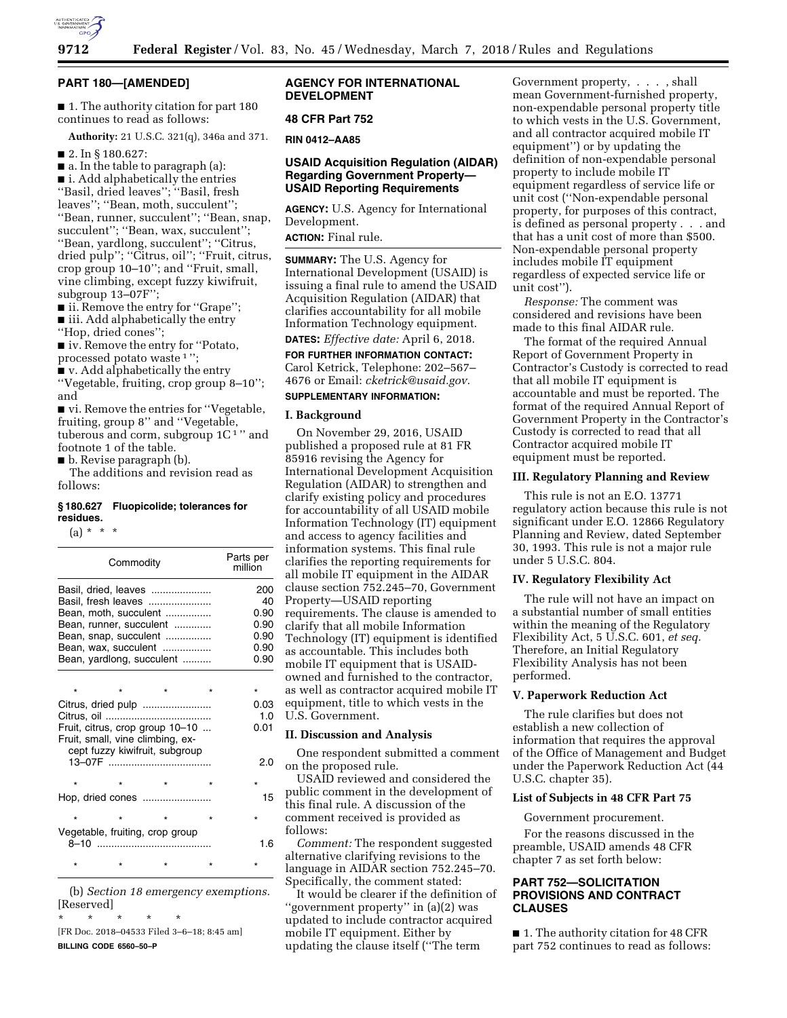

### **PART 180—[AMENDED]**

■ 1. The authority citation for part 180 continues to read as follows:

**Authority:** 21 U.S.C. 321(q), 346a and 371.

■ 2. In § 180.627:

■ a. In the table to paragraph (a):

■ i. Add alphabetically the entries ''Basil, dried leaves''; ''Basil, fresh leaves''; ''Bean, moth, succulent''; ''Bean, runner, succulent''; ''Bean, snap, succulent''; ''Bean, wax, succulent''; ''Bean, yardlong, succulent''; ''Citrus, dried pulp''; ''Citrus, oil''; ''Fruit, citrus, crop group 10–10''; and ''Fruit, small, vine climbing, except fuzzy kiwifruit, subgroup 13–07F'';

■ ii. Remove the entry for "Grape"; ■ iii. Add alphabetically the entry

''Hop, dried cones'';

■ iv. Remove the entry for "Potato, processed potato waste 1 '';

■ v. Add alphabetically the entry

''Vegetable, fruiting, crop group 8–10''; and

■ vi. Remove the entries for "Vegetable, fruiting, group 8'' and ''Vegetable, tuberous and corm, subgroup  $1C<sup>1</sup>$  " and footnote 1 of the table.

■ b. Revise paragraph (b).

The additions and revision read as follows:

### **§ 180.627 Fluopicolide; tolerances for residues.**

 $(a) * * * *$ 

| Commodity |                                     |         |         | Parts per<br>million |  |  |  |
|-----------|-------------------------------------|---------|---------|----------------------|--|--|--|
|           | Basil, dried, leaves                |         |         | 200                  |  |  |  |
|           | Basil, fresh leaves                 |         |         | 40                   |  |  |  |
|           | Bean, moth, succulent               |         |         | 0.90                 |  |  |  |
|           | Bean, runner, succulent             |         |         | 0.90                 |  |  |  |
|           | Bean, snap, succulent               |         |         | 0.90                 |  |  |  |
|           | Bean, wax, succulent                |         |         | 0.90                 |  |  |  |
|           | Bean, yardlong, succulent           |         |         | 0.90                 |  |  |  |
|           |                                     |         |         |                      |  |  |  |
| $\star$   |                                     |         | $\star$ | $\star$              |  |  |  |
|           |                                     |         |         | 0.03                 |  |  |  |
|           |                                     |         |         | 1.0                  |  |  |  |
|           | Fruit, citrus, crop group 10-10     |         |         | 0.01                 |  |  |  |
|           | Fruit, small, vine climbing, ex-    |         |         |                      |  |  |  |
|           | cept fuzzy kiwifruit, subgroup      |         |         |                      |  |  |  |
|           |                                     |         |         | 2.0                  |  |  |  |
|           |                                     |         |         |                      |  |  |  |
| $\star$   |                                     |         | $\star$ |                      |  |  |  |
|           | Hop, dried cones                    |         |         | 15                   |  |  |  |
| $\star$   | $\star$                             |         | $\star$ | $\star$              |  |  |  |
|           | Vegetable, fruiting, crop group     |         |         |                      |  |  |  |
|           |                                     |         |         | 1.6                  |  |  |  |
|           |                                     | $\star$ |         |                      |  |  |  |
|           | (h) Section 18 emergency exemptions |         |         |                      |  |  |  |

(b) *Section 18 emergency exemptions.*  [Reserved]

\* \* \* \* \*

[FR Doc. 2018–04533 Filed 3–6–18; 8:45 am] **BILLING CODE 6560–50–P** 

# **AGENCY FOR INTERNATIONAL DEVELOPMENT**

### **48 CFR Part 752**

**RIN 0412–AA85** 

# **USAID Acquisition Regulation (AIDAR) Regarding Government Property— USAID Reporting Requirements**

**AGENCY:** U.S. Agency for International Development.

**ACTION:** Final rule.

**SUMMARY:** The U.S. Agency for International Development (USAID) is issuing a final rule to amend the USAID Acquisition Regulation (AIDAR) that clarifies accountability for all mobile Information Technology equipment.

**DATES:** *Effective date:* April 6, 2018.

**FOR FURTHER INFORMATION CONTACT:**  Carol Ketrick, Telephone: 202–567– 4676 or Email: *[cketrick@usaid.gov.](mailto:cketrick@usaid.gov)* 

### **SUPPLEMENTARY INFORMATION:**

### **I. Background**

On November 29, 2016, USAID published a proposed rule at 81 FR 85916 revising the Agency for International Development Acquisition Regulation (AIDAR) to strengthen and clarify existing policy and procedures for accountability of all USAID mobile Information Technology (IT) equipment and access to agency facilities and information systems. This final rule clarifies the reporting requirements for all mobile IT equipment in the AIDAR clause section 752.245–70, Government Property—USAID reporting requirements. The clause is amended to clarify that all mobile Information Technology (IT) equipment is identified as accountable. This includes both mobile IT equipment that is USAIDowned and furnished to the contractor, as well as contractor acquired mobile IT equipment, title to which vests in the U.S. Government.

### **II. Discussion and Analysis**

One respondent submitted a comment on the proposed rule.

USAID reviewed and considered the public comment in the development of this final rule. A discussion of the comment received is provided as follows:

*Comment:* The respondent suggested alternative clarifying revisions to the language in AIDAR section 752.245–70. Specifically, the comment stated:

It would be clearer if the definition of ''government property'' in (a)(2) was updated to include contractor acquired mobile IT equipment. Either by updating the clause itself (''The term

Government property, . . . , shall mean Government-furnished property, non-expendable personal property title to which vests in the U.S. Government, and all contractor acquired mobile IT equipment'') or by updating the definition of non-expendable personal property to include mobile IT equipment regardless of service life or unit cost (''Non-expendable personal property, for purposes of this contract, is defined as personal property . . . and that has a unit cost of more than \$500. Non-expendable personal property includes mobile IT equipment regardless of expected service life or unit cost'').

*Response:* The comment was considered and revisions have been made to this final AIDAR rule.

The format of the required Annual Report of Government Property in Contractor's Custody is corrected to read that all mobile IT equipment is accountable and must be reported. The format of the required Annual Report of Government Property in the Contractor's Custody is corrected to read that all Contractor acquired mobile IT equipment must be reported.

#### **III. Regulatory Planning and Review**

This rule is not an E.O. 13771 regulatory action because this rule is not significant under E.O. 12866 Regulatory Planning and Review, dated September 30, 1993. This rule is not a major rule under 5 U.S.C. 804.

### **IV. Regulatory Flexibility Act**

The rule will not have an impact on a substantial number of small entities within the meaning of the Regulatory Flexibility Act, 5 U.S.C. 601, *et seq.*  Therefore, an Initial Regulatory Flexibility Analysis has not been performed.

### **V. Paperwork Reduction Act**

The rule clarifies but does not establish a new collection of information that requires the approval of the Office of Management and Budget under the Paperwork Reduction Act (44 U.S.C. chapter 35).

# **List of Subjects in 48 CFR Part 75**

#### Government procurement.

For the reasons discussed in the preamble, USAID amends 48 CFR chapter 7 as set forth below:

# **PART 752—SOLICITATION PROVISIONS AND CONTRACT CLAUSES**

■ 1. The authority citation for 48 CFR part 752 continues to read as follows: